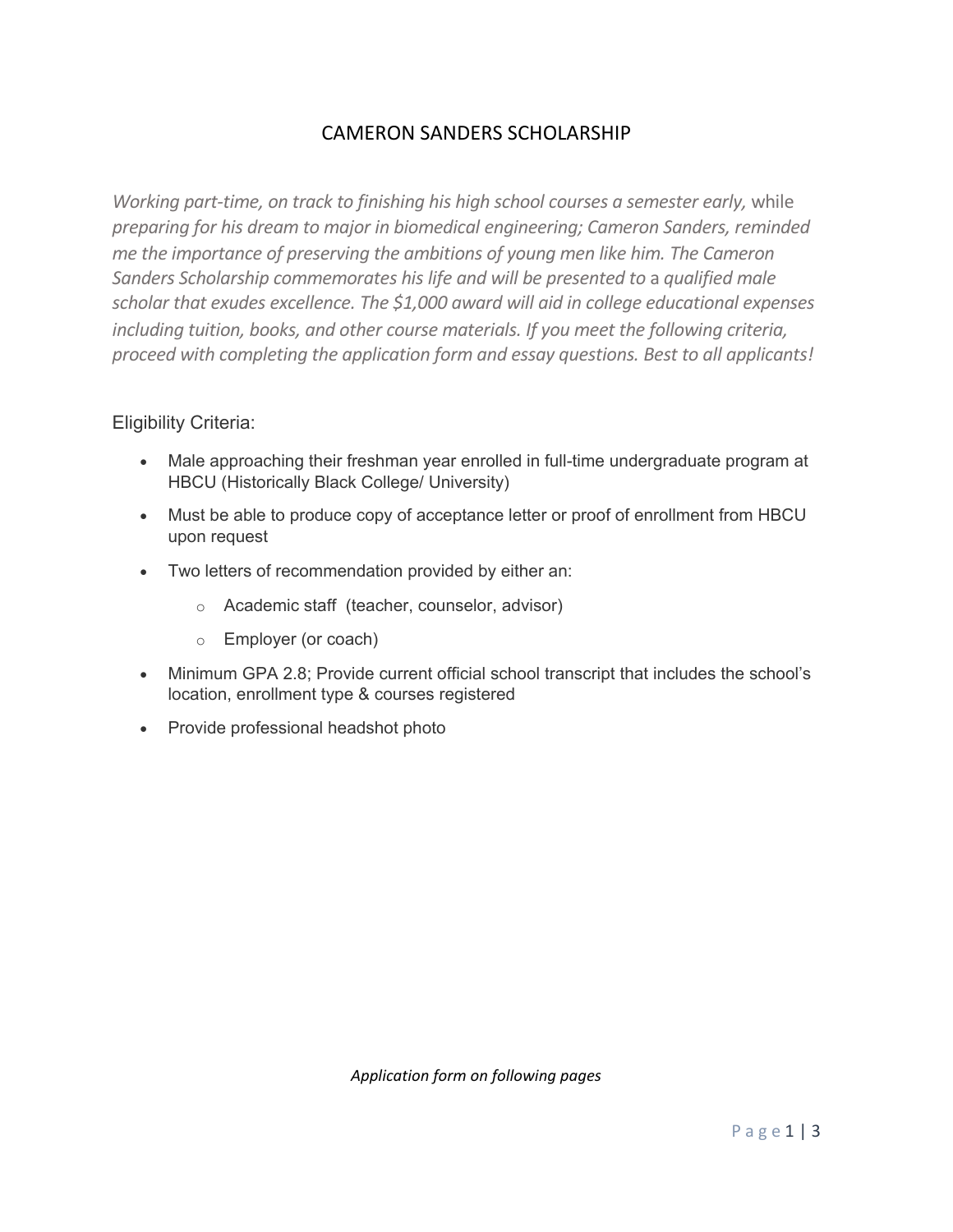## CAMERON SANDERS SCHOLARSHIP

*Working part-time, on track to finishing his high school courses a semester early, while* preparing for his dream to major in biomedical engineering; Cameron Sanders, reminded *me the importance of preserving the ambitions of young men like him. The Cameron Sanders Scholarship commemorates his life and will be presented to a qualified male* scholar *that* exudes excellence. The \$1,000 award will aid in college educational expenses *including tuition, books, and other course materials. If you meet the following criteria, proceed with completing the application form and essay questions. Best to all applicants!* 

### Eligibility Criteria:

- Male approaching their freshman year enrolled in full-time undergraduate program at HBCU (Historically Black College/ University)
- Must be able to produce copy of acceptance letter or proof of enrollment from HBCU upon request
- Two letters of recommendation provided by either an:
	- o Academic staff (teacher, counselor, advisor)
	- o Employer (or coach)
- Minimum GPA 2.8; Provide current official school transcript that includes the school's location, enrollment type & courses registered
- Provide professional headshot photo

*Application form on following pages*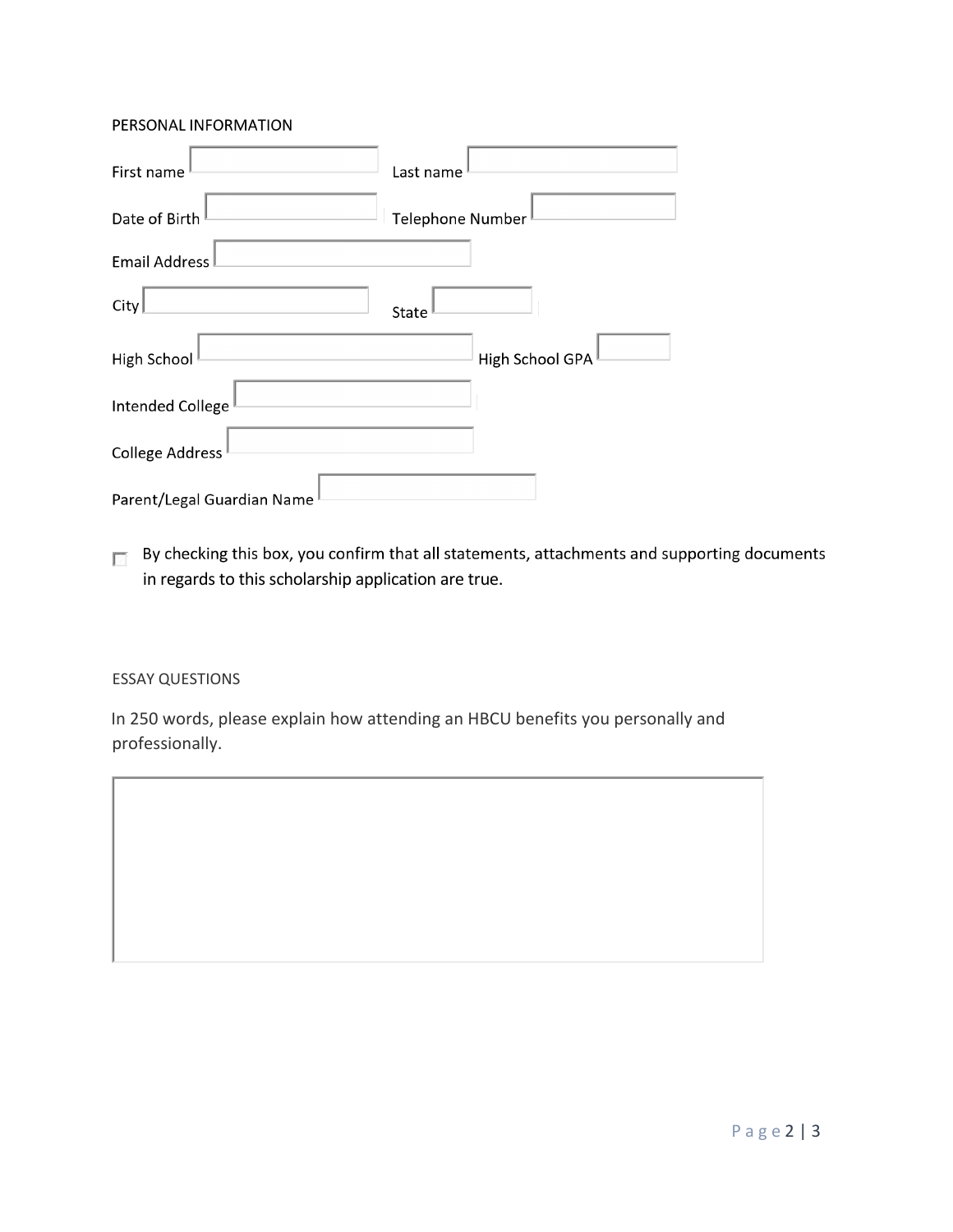#### PERSONAL INFORMATION

| First name                 | Last name        |
|----------------------------|------------------|
| Date of Birth              | Telephone Number |
| Email Address              |                  |
| City                       | State            |
| High School                | High School GPA  |
| Intended College           |                  |
| <b>College Address</b>     |                  |
| Parent/Legal Guardian Name |                  |

By checking this box, you confirm that all statements, attachments and supporting documents  $\overline{\mathbb{R}^2}$ in regards to this scholarship application are true.

#### ESSAY QUESTIONS

In 250 words, please explain how attending an HBCU benefits you personally and professionally.